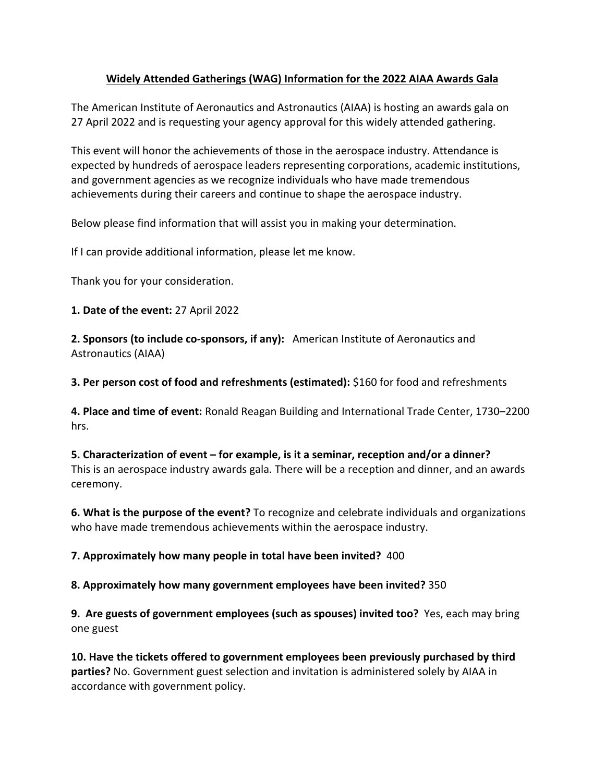## **Widely Attended Gatherings (WAG) Information for the 2022 AIAA Awards Gala**

The American Institute of Aeronautics and Astronautics (AIAA) is hosting an awards gala on 27 April 2022 and is requesting your agency approval for this widely attended gathering.

This event will honor the achievements of those in the aerospace industry. Attendance is expected by hundreds of aerospace leaders representing corporations, academic institutions, and government agencies as we recognize individuals who have made tremendous achievements during their careers and continue to shape the aerospace industry.

Below please find information that will assist you in making your determination.

If I can provide additional information, please let me know.

Thank you for your consideration.

**1. Date of the event:** 27 April 2022

**2. Sponsors (to include co-sponsors, if any):** American Institute of Aeronautics and Astronautics (AIAA)

**3. Per person cost of food and refreshments (estimated):** \$160 for food and refreshments

**4. Place and time of event:** Ronald Reagan Building and International Trade Center, 1730–2200 hrs.

**5. Characterization of event – for example, is it a seminar, reception and/or a dinner?**  This is an aerospace industry awards gala. There will be a reception and dinner, and an awards ceremony.

**6. What is the purpose of the event?** To recognize and celebrate individuals and organizations who have made tremendous achievements within the aerospace industry.

**7. Approximately how many people in total have been invited?** 400

**8. Approximately how many government employees have been invited?** 350

**9. Are guests of government employees (such as spouses) invited too?** Yes, each may bring one guest

**10. Have the tickets offered to government employees been previously purchased by third parties?** No. Government guest selection and invitation is administered solely by AIAA in accordance with government policy.